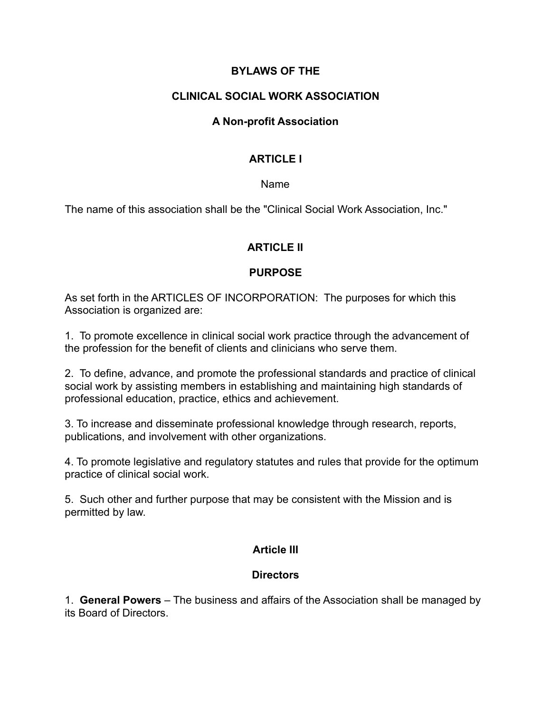### **BYLAWS OF THE**

#### **CLINICAL SOCIAL WORK ASSOCIATION**

#### **A Non-profit Association**

#### **ARTICLE I**

#### Name

The name of this association shall be the "Clinical Social Work Association, Inc."

### **ARTICLE II**

#### **PURPOSE**

As set forth in the ARTICLES OF INCORPORATION: The purposes for which this Association is organized are:

1. To promote excellence in clinical social work practice through the advancement of the profession for the benefit of clients and clinicians who serve them.

2. To define, advance, and promote the professional standards and practice of clinical social work by assisting members in establishing and maintaining high standards of professional education, practice, ethics and achievement.

3. To increase and disseminate professional knowledge through research, reports, publications, and involvement with other organizations.

4. To promote legislative and regulatory statutes and rules that provide for the optimum practice of clinical social work.

5. Such other and further purpose that may be consistent with the Mission and is permitted by law.

#### **Article III**

#### **Directors**

1. **General Powers** – The business and affairs of the Association shall be managed by its Board of Directors.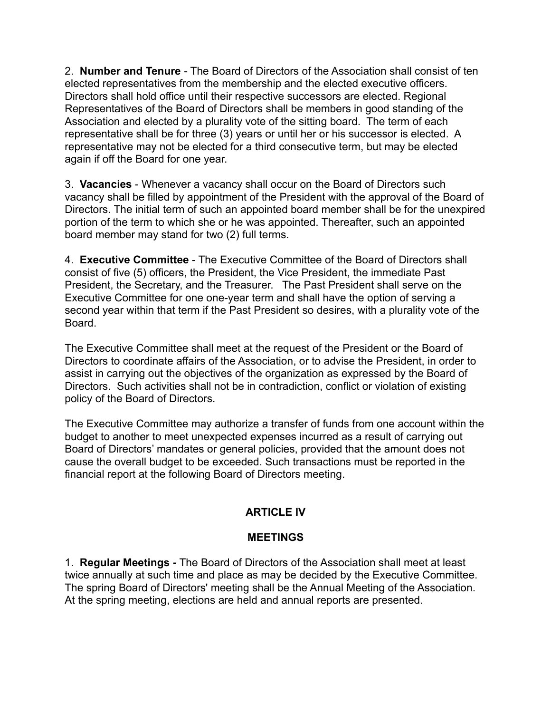2. **Number and Tenure** - The Board of Directors of the Association shall consist of ten elected representatives from the membership and the elected executive officers. Directors shall hold office until their respective successors are elected. Regional Representatives of the Board of Directors shall be members in good standing of the Association and elected by a plurality vote of the sitting board. The term of each representative shall be for three (3) years or until her or his successor is elected. A representative may not be elected for a third consecutive term, but may be elected again if off the Board for one year.

3. **Vacancies** - Whenever a vacancy shall occur on the Board of Directors such vacancy shall be filled by appointment of the President with the approval of the Board of Directors. The initial term of such an appointed board member shall be for the unexpired portion of the term to which she or he was appointed. Thereafter, such an appointed board member may stand for two (2) full terms.

4. **Executive Committee** - The Executive Committee of the Board of Directors shall consist of five (5) officers, the President, the Vice President, the immediate Past President, the Secretary, and the Treasurer. The Past President shall serve on the Executive Committee for one one-year term and shall have the option of serving a second year within that term if the Past President so desires, with a plurality vote of the Board.

The Executive Committee shall meet at the request of the President or the Board of Directors to coordinate affairs of the Association, or to advise the President, in order to assist in carrying out the objectives of the organization as expressed by the Board of Directors. Such activities shall not be in contradiction, conflict or violation of existing policy of the Board of Directors.

The Executive Committee may authorize a transfer of funds from one account within the budget to another to meet unexpected expenses incurred as a result of carrying out Board of Directors' mandates or general policies, provided that the amount does not cause the overall budget to be exceeded. Such transactions must be reported in the financial report at the following Board of Directors meeting.

## **ARTICLE IV**

### **MEETINGS**

1. **Regular Meetings -** The Board of Directors of the Association shall meet at least twice annually at such time and place as may be decided by the Executive Committee. The spring Board of Directors' meeting shall be the Annual Meeting of the Association. At the spring meeting, elections are held and annual reports are presented.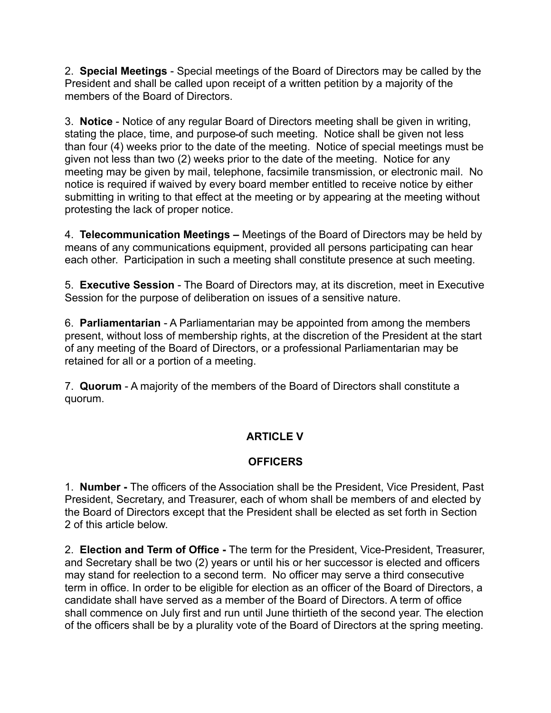2. **Special Meetings** - Special meetings of the Board of Directors may be called by the President and shall be called upon receipt of a written petition by a majority of the members of the Board of Directors.

3. **Notice** - Notice of any regular Board of Directors meeting shall be given in writing, stating the place, time, and purpose of such meeting. Notice shall be given not less than four (4) weeks prior to the date of the meeting. Notice of special meetings must be given not less than two (2) weeks prior to the date of the meeting. Notice for any meeting may be given by mail, telephone, facsimile transmission, or electronic mail. No notice is required if waived by every board member entitled to receive notice by either submitting in writing to that effect at the meeting or by appearing at the meeting without protesting the lack of proper notice.

4. **Telecommunication Meetings –** Meetings of the Board of Directors may be held by means of any communications equipment, provided all persons participating can hear each other. Participation in such a meeting shall constitute presence at such meeting.

5. **Executive Session** - The Board of Directors may, at its discretion, meet in Executive Session for the purpose of deliberation on issues of a sensitive nature.

6. **Parliamentarian** - A Parliamentarian may be appointed from among the members present, without loss of membership rights, at the discretion of the President at the start of any meeting of the Board of Directors, or a professional Parliamentarian may be retained for all or a portion of a meeting.

7. **Quorum** - A majority of the members of the Board of Directors shall constitute a quorum.

## **ARTICLE V**

## **OFFICERS**

1. **Number -** The officers of the Association shall be the President, Vice President, Past President, Secretary, and Treasurer, each of whom shall be members of and elected by the Board of Directors except that the President shall be elected as set forth in Section 2 of this article below.

2. **Election and Term of Office -** The term for the President, Vice-President, Treasurer, and Secretary shall be two (2) years or until his or her successor is elected and officers may stand for reelection to a second term. No officer may serve a third consecutive term in office. In order to be eligible for election as an officer of the Board of Directors, a candidate shall have served as a member of the Board of Directors. A term of office shall commence on July first and run until June thirtieth of the second year. The election of the officers shall be by a plurality vote of the Board of Directors at the spring meeting.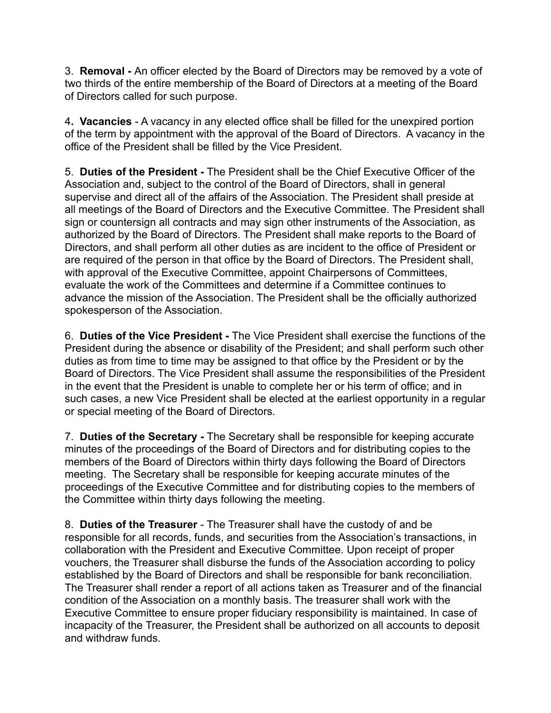3. **Removal -** An officer elected by the Board of Directors may be removed by a vote of two thirds of the entire membership of the Board of Directors at a meeting of the Board of Directors called for such purpose.

4**. Vacancies** - A vacancy in any elected office shall be filled for the unexpired portion of the term by appointment with the approval of the Board of Directors. A vacancy in the office of the President shall be filled by the Vice President.

5. **Duties of the President -** The President shall be the Chief Executive Officer of the Association and, subject to the control of the Board of Directors, shall in general supervise and direct all of the affairs of the Association. The President shall preside at all meetings of the Board of Directors and the Executive Committee. The President shall sign or countersign all contracts and may sign other instruments of the Association, as authorized by the Board of Directors. The President shall make reports to the Board of Directors, and shall perform all other duties as are incident to the office of President or are required of the person in that office by the Board of Directors. The President shall, with approval of the Executive Committee, appoint Chairpersons of Committees, evaluate the work of the Committees and determine if a Committee continues to advance the mission of the Association. The President shall be the officially authorized spokesperson of the Association.

6. **Duties of the Vice President -** The Vice President shall exercise the functions of the President during the absence or disability of the President; and shall perform such other duties as from time to time may be assigned to that office by the President or by the Board of Directors. The Vice President shall assume the responsibilities of the President in the event that the President is unable to complete her or his term of office; and in such cases, a new Vice President shall be elected at the earliest opportunity in a regular or special meeting of the Board of Directors.

7. **Duties of the Secretary -** The Secretary shall be responsible for keeping accurate minutes of the proceedings of the Board of Directors and for distributing copies to the members of the Board of Directors within thirty days following the Board of Directors meeting. The Secretary shall be responsible for keeping accurate minutes of the proceedings of the Executive Committee and for distributing copies to the members of the Committee within thirty days following the meeting.

8. **Duties of the Treasurer** - The Treasurer shall have the custody of and be responsible for all records, funds, and securities from the Association's transactions, in collaboration with the President and Executive Committee. Upon receipt of proper vouchers, the Treasurer shall disburse the funds of the Association according to policy established by the Board of Directors and shall be responsible for bank reconciliation. The Treasurer shall render a report of all actions taken as Treasurer and of the financial condition of the Association on a monthly basis. The treasurer shall work with the Executive Committee to ensure proper fiduciary responsibility is maintained. In case of incapacity of the Treasurer, the President shall be authorized on all accounts to deposit and withdraw funds.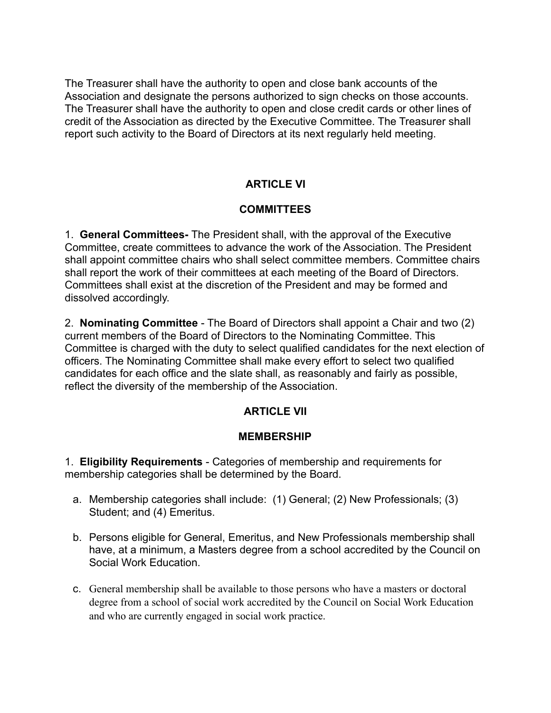The Treasurer shall have the authority to open and close bank accounts of the Association and designate the persons authorized to sign checks on those accounts. The Treasurer shall have the authority to open and close credit cards or other lines of credit of the Association as directed by the Executive Committee. The Treasurer shall report such activity to the Board of Directors at its next regularly held meeting.

## **ARTICLE VI**

### **COMMITTEES**

1. **General Committees-** The President shall, with the approval of the Executive Committee, create committees to advance the work of the Association. The President shall appoint committee chairs who shall select committee members. Committee chairs shall report the work of their committees at each meeting of the Board of Directors. Committees shall exist at the discretion of the President and may be formed and dissolved accordingly.

2. **Nominating Committee** - The Board of Directors shall appoint a Chair and two (2) current members of the Board of Directors to the Nominating Committee. This Committee is charged with the duty to select qualified candidates for the next election of officers. The Nominating Committee shall make every effort to select two qualified candidates for each office and the slate shall, as reasonably and fairly as possible, reflect the diversity of the membership of the Association.

### **ARTICLE VII**

#### **MEMBERSHIP**

1. **Eligibility Requirements** - Categories of membership and requirements for membership categories shall be determined by the Board.

- a. Membership categories shall include: (1) General; (2) New Professionals; (3) Student; and (4) Emeritus.
- b. Persons eligible for General, Emeritus, and New Professionals membership shall have, at a minimum, a Masters degree from a school accredited by the Council on Social Work Education.
- c. General membership shall be available to those persons who have a masters or doctoral degree from a school of social work accredited by the Council on Social Work Education and who are currently engaged in social work practice.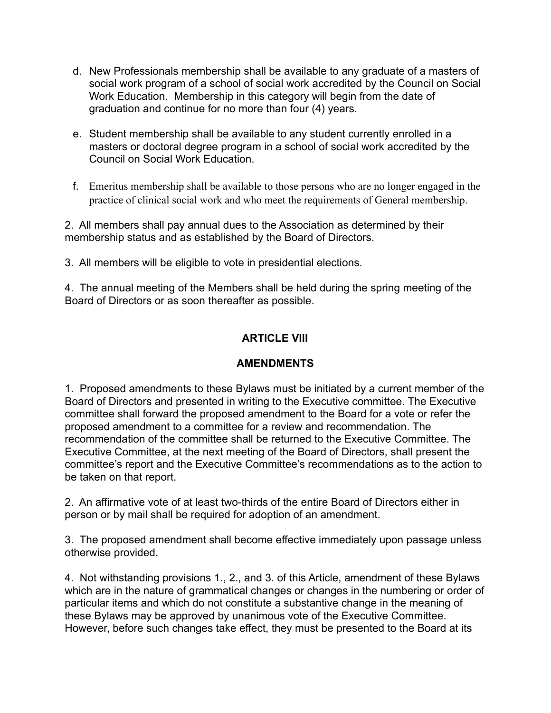- d. New Professionals membership shall be available to any graduate of a masters of social work program of a school of social work accredited by the Council on Social Work Education. Membership in this category will begin from the date of graduation and continue for no more than four (4) years.
- e. Student membership shall be available to any student currently enrolled in a masters or doctoral degree program in a school of social work accredited by the Council on Social Work Education.
- f. Emeritus membership shall be available to those persons who are no longer engaged in the practice of clinical social work and who meet the requirements of General membership.

2. All members shall pay annual dues to the Association as determined by their membership status and as established by the Board of Directors.

3. All members will be eligible to vote in presidential elections.

4. The annual meeting of the Members shall be held during the spring meeting of the Board of Directors or as soon thereafter as possible.

## **ARTICLE VIII**

### **AMENDMENTS**

1. Proposed amendments to these Bylaws must be initiated by a current member of the Board of Directors and presented in writing to the Executive committee. The Executive committee shall forward the proposed amendment to the Board for a vote or refer the proposed amendment to a committee for a review and recommendation. The recommendation of the committee shall be returned to the Executive Committee. The Executive Committee, at the next meeting of the Board of Directors, shall present the committee's report and the Executive Committee's recommendations as to the action to be taken on that report.

2. An affirmative vote of at least two-thirds of the entire Board of Directors either in person or by mail shall be required for adoption of an amendment.

3. The proposed amendment shall become effective immediately upon passage unless otherwise provided.

4. Not withstanding provisions 1., 2., and 3. of this Article, amendment of these Bylaws which are in the nature of grammatical changes or changes in the numbering or order of particular items and which do not constitute a substantive change in the meaning of these Bylaws may be approved by unanimous vote of the Executive Committee. However, before such changes take effect, they must be presented to the Board at its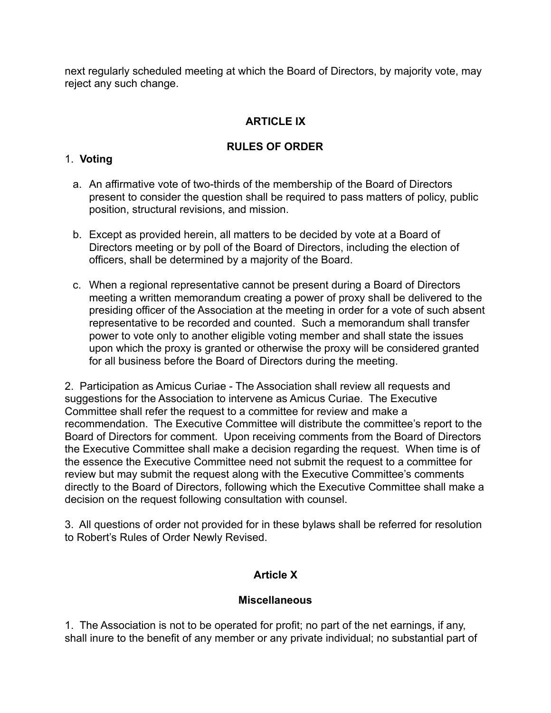next regularly scheduled meeting at which the Board of Directors, by majority vote, may reject any such change.

# **ARTICLE IX**

## **RULES OF ORDER**

### 1. **Voting**

- a. An affirmative vote of two-thirds of the membership of the Board of Directors present to consider the question shall be required to pass matters of policy, public position, structural revisions, and mission.
- b. Except as provided herein, all matters to be decided by vote at a Board of Directors meeting or by poll of the Board of Directors, including the election of officers, shall be determined by a majority of the Board.
- c. When a regional representative cannot be present during a Board of Directors meeting a written memorandum creating a power of proxy shall be delivered to the presiding officer of the Association at the meeting in order for a vote of such absent representative to be recorded and counted. Such a memorandum shall transfer power to vote only to another eligible voting member and shall state the issues upon which the proxy is granted or otherwise the proxy will be considered granted for all business before the Board of Directors during the meeting.

2. Participation as Amicus Curiae - The Association shall review all requests and suggestions for the Association to intervene as Amicus Curiae. The Executive Committee shall refer the request to a committee for review and make a recommendation. The Executive Committee will distribute the committee's report to the Board of Directors for comment. Upon receiving comments from the Board of Directors the Executive Committee shall make a decision regarding the request. When time is of the essence the Executive Committee need not submit the request to a committee for review but may submit the request along with the Executive Committee's comments directly to the Board of Directors, following which the Executive Committee shall make a decision on the request following consultation with counsel.

3. All questions of order not provided for in these bylaws shall be referred for resolution to Robert's Rules of Order Newly Revised.

## **Article X**

### **Miscellaneous**

1. The Association is not to be operated for profit; no part of the net earnings, if any, shall inure to the benefit of any member or any private individual; no substantial part of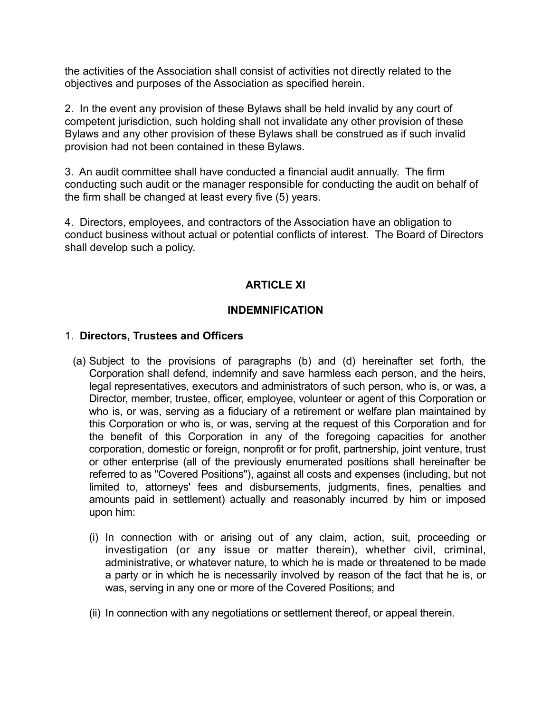the activities of the Association shall consist of activities not directly related to the objectives and purposes of the Association as specified herein.

2. In the event any provision of these Bylaws shall be held invalid by any court of competent jurisdiction, such holding shall not invalidate any other provision of these Bylaws and any other provision of these Bylaws shall be construed as if such invalid provision had not been contained in these Bylaws.

3. An audit committee shall have conducted a financial audit annually. The firm conducting such audit or the manager responsible for conducting the audit on behalf of the firm shall be changed at least every five (5) years.

4. Directors, employees, and contractors of the Association have an obligation to conduct business without actual or potential conflicts of interest. The Board of Directors shall develop such a policy.

## **ARTICLE XI**

### **INDEMNIFICATION**

### 1. **Directors, Trustees and Officers**

- (a) Subject to the provisions of paragraphs (b) and (d) hereinafter set forth, the Corporation shall defend, indemnify and save harmless each person, and the heirs, legal representatives, executors and administrators of such person, who is, or was, a Director, member, trustee, officer, employee, volunteer or agent of this Corporation or who is, or was, serving as a fiduciary of a retirement or welfare plan maintained by this Corporation or who is, or was, serving at the request of this Corporation and for the benefit of this Corporation in any of the foregoing capacities for another corporation, domestic or foreign, nonprofit or for profit, partnership, joint venture, trust or other enterprise (all of the previously enumerated positions shall hereinafter be referred to as "Covered Positions"), against all costs and expenses (including, but not limited to, attorneys' fees and disbursements, judgments, fines, penalties and amounts paid in settlement) actually and reasonably incurred by him or imposed upon him:
	- (i) In connection with or arising out of any claim, action, suit, proceeding or investigation (or any issue or matter therein), whether civil, criminal, administrative, or whatever nature, to which he is made or threatened to be made a party or in which he is necessarily involved by reason of the fact that he is, or was, serving in any one or more of the Covered Positions; and
	- (ii) In connection with any negotiations or settlement thereof, or appeal therein.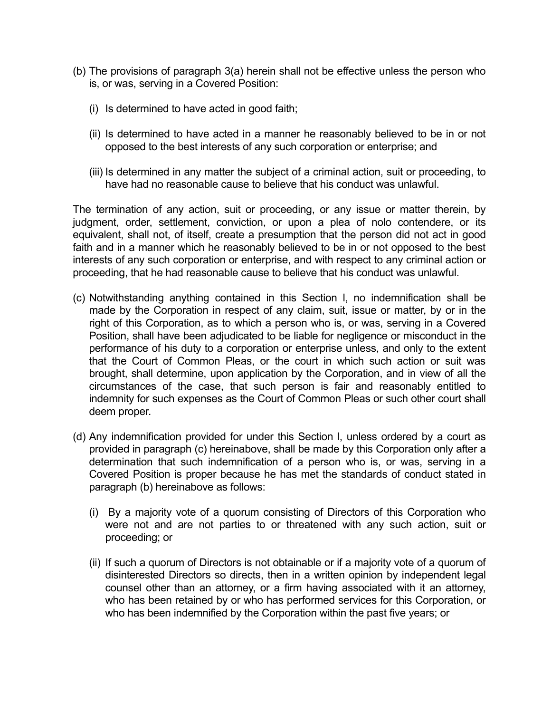- (b) The provisions of paragraph 3(a) herein shall not be effective unless the person who is, or was, serving in a Covered Position:
	- (i) Is determined to have acted in good faith;
	- (ii) Is determined to have acted in a manner he reasonably believed to be in or not opposed to the best interests of any such corporation or enterprise; and
	- (iii) Is determined in any matter the subject of a criminal action, suit or proceeding, to have had no reasonable cause to believe that his conduct was unlawful.

The termination of any action, suit or proceeding, or any issue or matter therein, by judgment, order, settlement, conviction, or upon a plea of nolo contendere, or its equivalent, shall not, of itself, create a presumption that the person did not act in good faith and in a manner which he reasonably believed to be in or not opposed to the best interests of any such corporation or enterprise, and with respect to any criminal action or proceeding, that he had reasonable cause to believe that his conduct was unlawful.

- (c) Notwithstanding anything contained in this Section l, no indemnification shall be made by the Corporation in respect of any claim, suit, issue or matter, by or in the right of this Corporation, as to which a person who is, or was, serving in a Covered Position, shall have been adjudicated to be liable for negligence or misconduct in the performance of his duty to a corporation or enterprise unless, and only to the extent that the Court of Common Pleas, or the court in which such action or suit was brought, shall determine, upon application by the Corporation, and in view of all the circumstances of the case, that such person is fair and reasonably entitled to indemnity for such expenses as the Court of Common Pleas or such other court shall deem proper.
- (d) Any indemnification provided for under this Section l, unless ordered by a court as provided in paragraph (c) hereinabove, shall be made by this Corporation only after a determination that such indemnification of a person who is, or was, serving in a Covered Position is proper because he has met the standards of conduct stated in paragraph (b) hereinabove as follows:
	- (i) By a majority vote of a quorum consisting of Directors of this Corporation who were not and are not parties to or threatened with any such action, suit or proceeding; or
	- (ii) If such a quorum of Directors is not obtainable or if a majority vote of a quorum of disinterested Directors so directs, then in a written opinion by independent legal counsel other than an attorney, or a firm having associated with it an attorney, who has been retained by or who has performed services for this Corporation, or who has been indemnified by the Corporation within the past five years; or